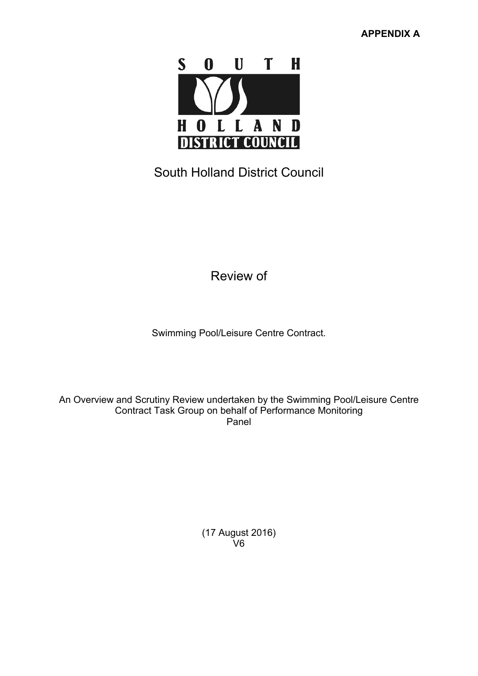

South Holland District Council

Review of

Swimming Pool/Leisure Centre Contract.

An Overview and Scrutiny Review undertaken by the Swimming Pool/Leisure Centre Contract Task Group on behalf of Performance Monitoring Panel

> (17 August 2016) V6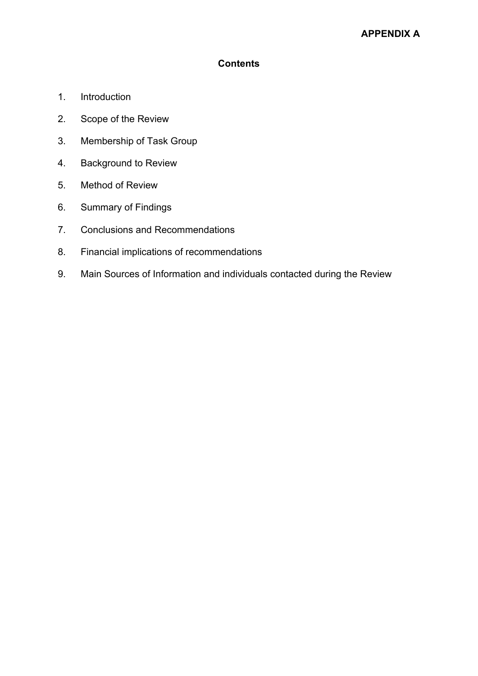### **Contents**

- 1. Introduction
- 2. Scope of the Review
- 3. Membership of Task Group
- 4. Background to Review
- 5. Method of Review
- 6. Summary of Findings
- 7. Conclusions and Recommendations
- 8. Financial implications of recommendations
- 9. Main Sources of Information and individuals contacted during the Review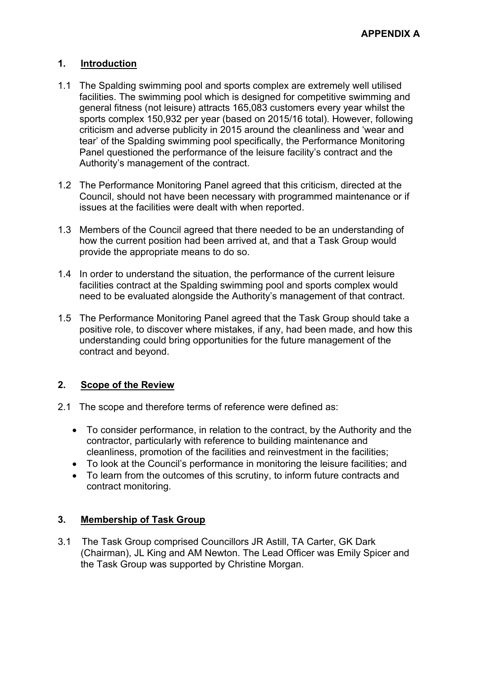### **1. Introduction**

- 1.1 The Spalding swimming pool and sports complex are extremely well utilised facilities. The swimming pool which is designed for competitive swimming and general fitness (not leisure) attracts 165,083 customers every year whilst the sports complex 150,932 per year (based on 2015/16 total). However, following criticism and adverse publicity in 2015 around the cleanliness and 'wear and tear' of the Spalding swimming pool specifically, the Performance Monitoring Panel questioned the performance of the leisure facility's contract and the Authority's management of the contract.
- 1.2 The Performance Monitoring Panel agreed that this criticism, directed at the Council, should not have been necessary with programmed maintenance or if issues at the facilities were dealt with when reported.
- 1.3 Members of the Council agreed that there needed to be an understanding of how the current position had been arrived at, and that a Task Group would provide the appropriate means to do so.
- 1.4 In order to understand the situation, the performance of the current leisure facilities contract at the Spalding swimming pool and sports complex would need to be evaluated alongside the Authority's management of that contract.
- 1.5 The Performance Monitoring Panel agreed that the Task Group should take a positive role, to discover where mistakes, if any, had been made, and how this understanding could bring opportunities for the future management of the contract and beyond.

# **2. Scope of the Review**

- 2.1 The scope and therefore terms of reference were defined as:
	- To consider performance, in relation to the contract, by the Authority and the contractor, particularly with reference to building maintenance and cleanliness, promotion of the facilities and reinvestment in the facilities;
	- To look at the Council's performance in monitoring the leisure facilities; and
	- To learn from the outcomes of this scrutiny, to inform future contracts and contract monitoring.

# **3. Membership of Task Group**

3.1 The Task Group comprised Councillors JR Astill, TA Carter, GK Dark (Chairman), JL King and AM Newton. The Lead Officer was Emily Spicer and the Task Group was supported by Christine Morgan.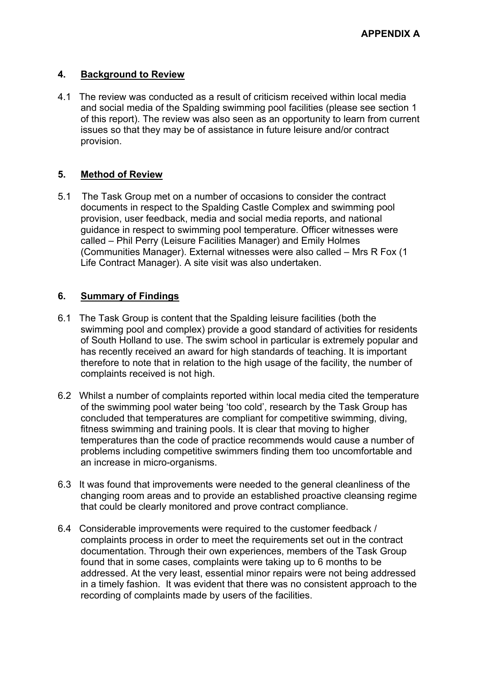### **4. Background to Review**

4.1 The review was conducted as a result of criticism received within local media and social media of the Spalding swimming pool facilities (please see section 1 of this report). The review was also seen as an opportunity to learn from current issues so that they may be of assistance in future leisure and/or contract provision.

# **5. Method of Review**

5.1 The Task Group met on a number of occasions to consider the contract documents in respect to the Spalding Castle Complex and swimming pool provision, user feedback, media and social media reports, and national guidance in respect to swimming pool temperature. Officer witnesses were called – Phil Perry (Leisure Facilities Manager) and Emily Holmes (Communities Manager). External witnesses were also called – Mrs R Fox (1 Life Contract Manager). A site visit was also undertaken.

### **6. Summary of Findings**

- 6.1 The Task Group is content that the Spalding leisure facilities (both the swimming pool and complex) provide a good standard of activities for residents of South Holland to use. The swim school in particular is extremely popular and has recently received an award for high standards of teaching. It is important therefore to note that in relation to the high usage of the facility, the number of complaints received is not high.
- 6.2 Whilst a number of complaints reported within local media cited the temperature of the swimming pool water being 'too cold', research by the Task Group has concluded that temperatures are compliant for competitive swimming, diving, fitness swimming and training pools. It is clear that moving to higher temperatures than the code of practice recommends would cause a number of problems including competitive swimmers finding them too uncomfortable and an increase in micro-organisms.
- 6.3 It was found that improvements were needed to the general cleanliness of the changing room areas and to provide an established proactive cleansing regime that could be clearly monitored and prove contract compliance.
- 6.4 Considerable improvements were required to the customer feedback / complaints process in order to meet the requirements set out in the contract documentation. Through their own experiences, members of the Task Group found that in some cases, complaints were taking up to 6 months to be addressed. At the very least, essential minor repairs were not being addressed in a timely fashion. It was evident that there was no consistent approach to the recording of complaints made by users of the facilities.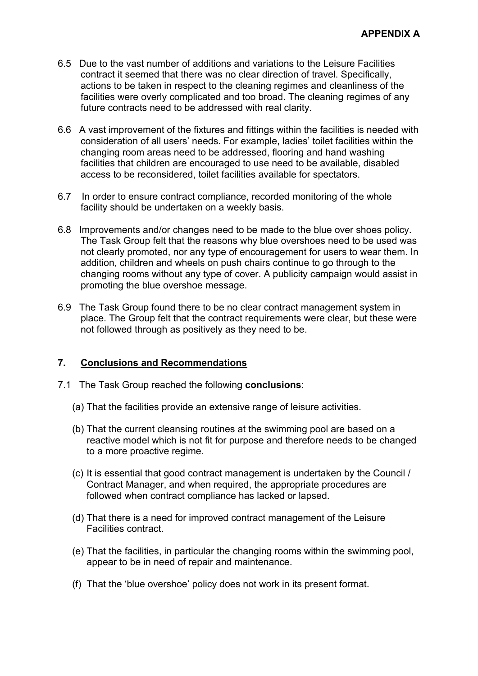- 6.5 Due to the vast number of additions and variations to the Leisure Facilities contract it seemed that there was no clear direction of travel. Specifically, actions to be taken in respect to the cleaning regimes and cleanliness of the facilities were overly complicated and too broad. The cleaning regimes of any future contracts need to be addressed with real clarity.
- 6.6 A vast improvement of the fixtures and fittings within the facilities is needed with consideration of all users' needs. For example, ladies' toilet facilities within the changing room areas need to be addressed, flooring and hand washing facilities that children are encouraged to use need to be available, disabled access to be reconsidered, toilet facilities available for spectators.
- 6.7 In order to ensure contract compliance, recorded monitoring of the whole facility should be undertaken on a weekly basis.
- 6.8 Improvements and/or changes need to be made to the blue over shoes policy. The Task Group felt that the reasons why blue overshoes need to be used was not clearly promoted, nor any type of encouragement for users to wear them. In addition, children and wheels on push chairs continue to go through to the changing rooms without any type of cover. A publicity campaign would assist in promoting the blue overshoe message.
- 6.9 The Task Group found there to be no clear contract management system in place. The Group felt that the contract requirements were clear, but these were not followed through as positively as they need to be.

# **7. Conclusions and Recommendations**

- 7.1 The Task Group reached the following **conclusions**:
	- (a) That the facilities provide an extensive range of leisure activities.
	- (b) That the current cleansing routines at the swimming pool are based on a reactive model which is not fit for purpose and therefore needs to be changed to a more proactive regime.
	- (c) It is essential that good contract management is undertaken by the Council / Contract Manager, and when required, the appropriate procedures are followed when contract compliance has lacked or lapsed.
	- (d) That there is a need for improved contract management of the Leisure Facilities contract.
	- (e) That the facilities, in particular the changing rooms within the swimming pool, appear to be in need of repair and maintenance.
	- (f) That the 'blue overshoe' policy does not work in its present format.